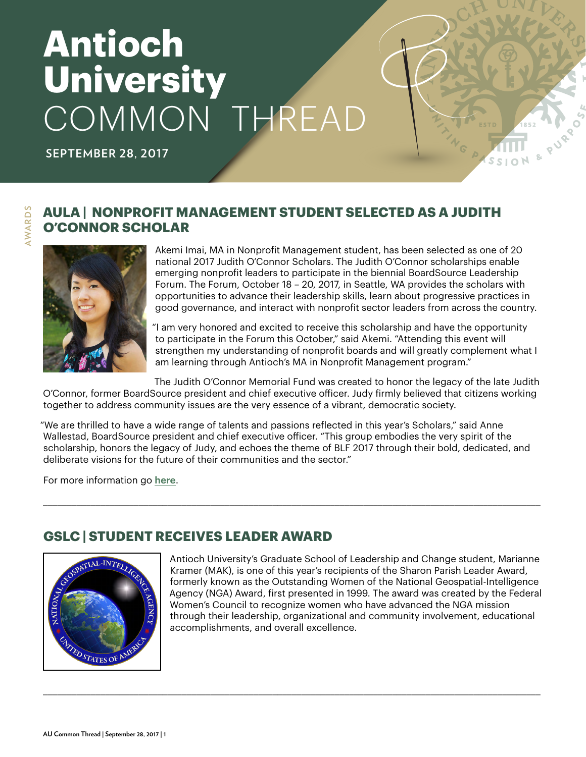# **Antioch University** COMMON THREAD

**SEPTEMBER 28, 2017**

# **AULA | NONPROFIT MANAGEMENT STUDENT SELECTED AS A JUDITH O'CONNOR SCHOLAR**



**AWARDS AWARDS**

Akemi Imai, MA in Nonprofit Management student, has been selected as one of 20 national 2017 Judith O'Connor Scholars. The Judith O'Connor scholarships enable emerging nonprofit leaders to participate in the biennial BoardSource Leadership Forum. The Forum, October 18 – 20, 2017, in Seattle, WA provides the scholars with opportunities to advance their leadership skills, learn about progressive practices in good governance, and interact with nonprofit sector leaders from across the country.

"I am very honored and excited to receive this scholarship and have the opportunity to participate in the Forum this October," said Akemi. "Attending this event will strengthen my understanding of nonprofit boards and will greatly complement what I am learning through Antioch's MA in Nonprofit Management program."

The Judith O'Connor Memorial Fund was created to honor the legacy of the late Judith O'Connor, former BoardSource president and chief executive officer. Judy firmly believed that citizens working together to address community issues are the very essence of a vibrant, democratic society.

"We are thrilled to have a wide range of talents and passions reflected in this year's Scholars," said Anne Wallestad, BoardSource president and chief executive officer. "This group embodies the very spirit of the scholarship, honors the legacy of Judy, and echoes the theme of BLF 2017 through their bold, dedicated, and deliberate visions for the future of their communities and the sector."

\_\_\_\_\_\_\_\_\_\_\_\_\_\_\_\_\_\_\_\_\_\_\_\_\_\_\_\_\_\_\_\_\_\_\_\_\_\_\_\_\_\_\_\_\_\_\_\_\_\_\_\_\_\_\_\_\_\_\_\_\_\_\_\_\_\_\_\_\_\_\_\_\_\_\_\_\_\_\_\_\_\_\_\_\_\_\_\_\_\_\_\_\_\_\_\_\_\_\_\_\_\_\_\_

\_\_\_\_\_\_\_\_\_\_\_\_\_\_\_\_\_\_\_\_\_\_\_\_\_\_\_\_\_\_\_\_\_\_\_\_\_\_\_\_\_\_\_\_\_\_\_\_\_\_\_\_\_\_\_\_\_\_\_\_\_\_\_\_\_\_\_\_\_\_\_\_\_\_\_\_\_\_\_\_\_\_\_\_\_\_\_\_\_\_\_\_\_\_\_\_\_\_\_\_\_\_\_\_

For more information go **[here](https://www.antioch.edu/los-angeles/degrees-programs/business-management-leadership/non-profit-management-ma/
)**.

# **GSLC | STUDENT RECEIVES LEADER AWARD**



Antioch University's Graduate School of Leadership and Change student, Marianne Kramer (MAK), is one of this year's recipients of the Sharon Parish Leader Award, formerly known as the Outstanding Women of the National Geospatial-Intelligence Agency (NGA) Award, first presented in 1999. The award was created by the Federal Women's Council to recognize women who have advanced the NGA mission through their leadership, organizational and community involvement, educational accomplishments, and overall excellence.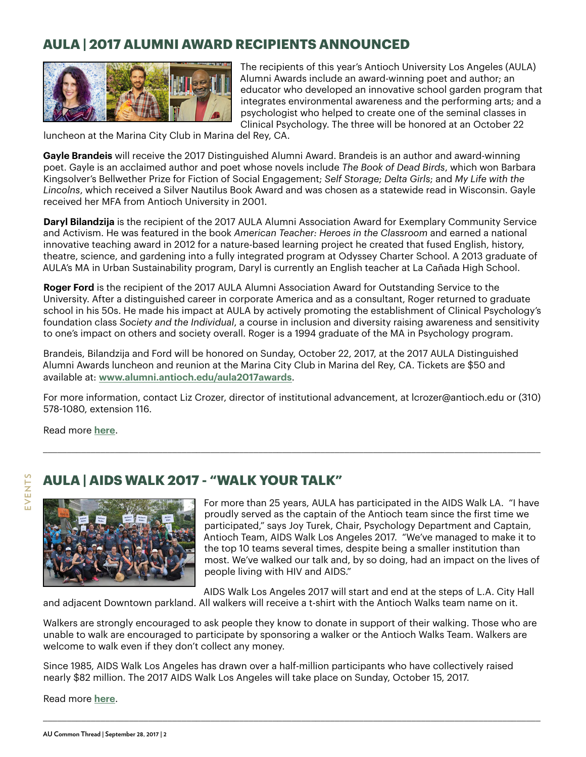# **AULA | 2017 ALUMNI AWARD RECIPIENTS ANNOUNCED**



The recipients of this year's Antioch University Los Angeles (AULA) Alumni Awards include an award-winning poet and author; an educator who developed an innovative school garden program that integrates environmental awareness and the performing arts; and a psychologist who helped to create one of the seminal classes in Clinical Psychology. The three will be honored at an October 22

luncheon at the Marina City Club in Marina del Rey, CA.

**Gayle Brandeis** will receive the 2017 Distinguished Alumni Award. Brandeis is an author and award-winning poet. Gayle is an acclaimed author and poet whose novels include *The Book of Dead Birds*, which won Barbara Kingsolver's Bellwether Prize for Fiction of Social Engagement; *Self Storage*; *Delta Girls*; and *My Life with the Lincolns*, which received a Silver Nautilus Book Award and was chosen as a statewide read in Wisconsin. Gayle received her MFA from Antioch University in 2001.

**Daryl Bilandzija** is the recipient of the 2017 AULA Alumni Association Award for Exemplary Community Service and Activism. He was featured in the book *American Teacher: Heroes in the Classroom* and earned a national innovative teaching award in 2012 for a nature-based learning project he created that fused English, history, theatre, science, and gardening into a fully integrated program at Odyssey Charter School. A 2013 graduate of AULA's MA in Urban Sustainability program, Daryl is currently an English teacher at La Cañada High School.

**Roger Ford** is the recipient of the 2017 AULA Alumni Association Award for Outstanding Service to the University. After a distinguished career in corporate America and as a consultant, Roger returned to graduate school in his 50s. He made his impact at AULA by actively promoting the establishment of Clinical Psychology's foundation class *Society and the Individual*, a course in inclusion and diversity raising awareness and sensitivity to one's impact on others and society overall. Roger is a 1994 graduate of the MA in Psychology program.

Brandeis, Bilandzija and Ford will be honored on Sunday, October 22, 2017, at the 2017 AULA Distinguished Alumni Awards luncheon and reunion at the Marina City Club in Marina del Rey, CA. Tickets are \$50 and available at: **<www.alumni.antioch.edu/aula2017awards>**.

For more information, contact Liz Crozer, director of institutional advancement, at lcrozer@antioch.edu or (310) 578-1080, extension 116.

\_\_\_\_\_\_\_\_\_\_\_\_\_\_\_\_\_\_\_\_\_\_\_\_\_\_\_\_\_\_\_\_\_\_\_\_\_\_\_\_\_\_\_\_\_\_\_\_\_\_\_\_\_\_\_\_\_\_\_\_\_\_\_\_\_\_\_\_\_\_\_\_\_\_\_\_\_\_\_\_\_\_\_\_\_\_\_\_\_\_\_\_\_\_\_\_\_\_\_\_\_\_\_\_

Read more **[here](https://www.antioch.edu/los-angeles/2017/09/10/2017-alumni-award-recipients-announced/)**.

EVENTS **EVENTS**

# **AULA | AIDS WALK 2017 - "WALK YOUR TALK"**



For more than 25 years, AULA has participated in the AIDS Walk LA. "I have proudly served as the captain of the Antioch team since the first time we participated," says Joy Turek, Chair, Psychology Department and Captain, Antioch Team, AIDS Walk Los Angeles 2017. "We've managed to make it to the top 10 teams several times, despite being a smaller institution than most. We've walked our talk and, by so doing, had an impact on the lives of people living with HIV and AIDS."

AIDS Walk Los Angeles 2017 will start and end at the steps of L.A. City Hall

and adjacent Downtown parkland. All walkers will receive a t-shirt with the Antioch Walks team name on it.

Walkers are strongly encouraged to ask people they know to donate in support of their walking. Those who are unable to walk are encouraged to participate by sponsoring a walker or the Antioch Walks Team. Walkers are welcome to walk even if they don't collect any money.

\_\_\_\_\_\_\_\_\_\_\_\_\_\_\_\_\_\_\_\_\_\_\_\_\_\_\_\_\_\_\_\_\_\_\_\_\_\_\_\_\_\_\_\_\_\_\_\_\_\_\_\_\_\_\_\_\_\_\_\_\_\_\_\_\_\_\_\_\_\_\_\_\_\_\_\_\_\_\_\_\_\_\_\_\_\_\_\_\_\_\_\_\_\_\_\_\_\_\_\_\_\_\_\_

Since 1985, AIDS Walk Los Angeles has drawn over a half-million participants who have collectively raised nearly \$82 million. The 2017 AIDS Walk Los Angeles will take place on Sunday, October 15, 2017.

Read more **[here](https://www.antioch.edu/los-angeles/2017/09/11/aids-walk-2016-walk-your-talk/)**.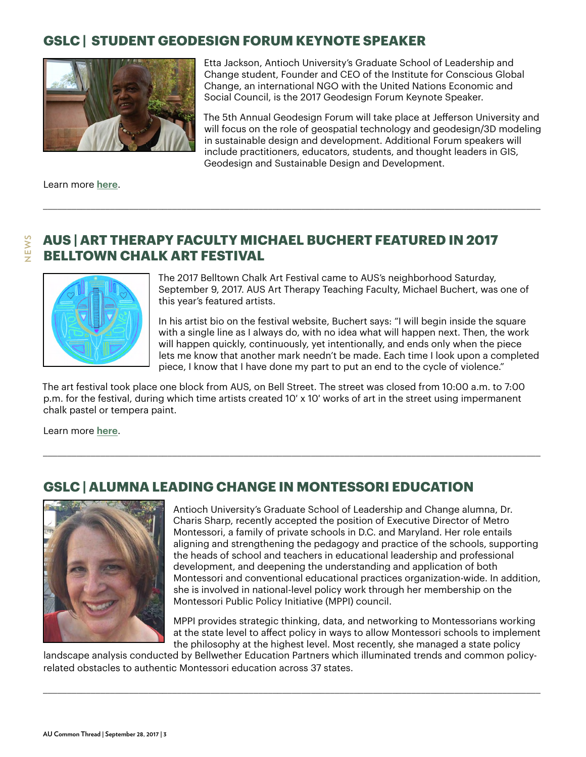# **GSLC | STUDENT GEODESIGN FORUM KEYNOTE SPEAKER**



Etta Jackson, Antioch University's Graduate School of Leadership and Change student, Founder and CEO of the Institute for Conscious Global Change, an international NGO with the United Nations Economic and Social Council, is the 2017 Geodesign Forum Keynote Speaker.

The 5th Annual Geodesign Forum will take place at Jefferson University and will focus on the role of geospatial technology and geodesign/3D modeling in sustainable design and development. Additional Forum speakers will include practitioners, educators, students, and thought leaders in GIS, Geodesign and Sustainable Design and Development.

Learn more **[here](http://www.icgc.ngo/letter-from-the-president.php)**.

**NEWS**

# **AUS | ART THERAPY FACULTY MICHAEL BUCHERT FEATURED IN 2017 BELLTOWN CHALK ART FESTIVAL**

\_\_\_\_\_\_\_\_\_\_\_\_\_\_\_\_\_\_\_\_\_\_\_\_\_\_\_\_\_\_\_\_\_\_\_\_\_\_\_\_\_\_\_\_\_\_\_\_\_\_\_\_\_\_\_\_\_\_\_\_\_\_\_\_\_\_\_\_\_\_\_\_\_\_\_\_\_\_\_\_\_\_\_\_\_\_\_\_\_\_\_\_\_\_\_\_\_\_\_\_\_\_\_\_



The 2017 Belltown Chalk Art Festival came to AUS's neighborhood Saturday, September 9, 2017. AUS Art Therapy Teaching Faculty, Michael Buchert, was one of this year's featured artists.

In his artist bio on the festival website, Buchert says: "I will begin inside the square with a single line as I always do, with no idea what will happen next. Then, the work will happen quickly, continuously, yet intentionally, and ends only when the piece lets me know that another mark needn't be made. Each time I look upon a completed piece, I know that I have done my part to put an end to the cycle of violence."

The art festival took place one block from AUS, on Bell Street. The street was closed from 10:00 a.m. to 7:00 p.m. for the festival, during which time artists created 10′ x 10′ works of art in the street using impermanent chalk pastel or tempera paint.

\_\_\_\_\_\_\_\_\_\_\_\_\_\_\_\_\_\_\_\_\_\_\_\_\_\_\_\_\_\_\_\_\_\_\_\_\_\_\_\_\_\_\_\_\_\_\_\_\_\_\_\_\_\_\_\_\_\_\_\_\_\_\_\_\_\_\_\_\_\_\_\_\_\_\_\_\_\_\_\_\_\_\_\_\_\_\_\_\_\_\_\_\_\_\_\_\_\_\_\_\_\_\_\_

Learn more **[here](https://www.antioch.edu/seattle/2017/09/05/art-therapy-teaching-faculty-michael-buchert-featured-2017-belltown-chalk-art-festival/)**.

# **GSLC | ALUMNA LEADING CHANGE IN MONTESSORI EDUCATION**



Antioch University's Graduate School of Leadership and Change alumna, Dr. Charis Sharp, recently accepted the position of Executive Director of Metro Montessori, a family of private schools in D.C. and Maryland. Her role entails aligning and strengthening the pedagogy and practice of the schools, supporting the heads of school and teachers in educational leadership and professional development, and deepening the understanding and application of both Montessori and conventional educational practices organization-wide. In addition, she is involved in national-level policy work through her membership on the Montessori Public Policy Initiative (MPPI) council.

MPPI provides strategic thinking, data, and networking to Montessorians working at the state level to affect policy in ways to allow Montessori schools to implement the philosophy at the highest level. Most recently, she managed a state policy

landscape analysis conducted by Bellwether Education Partners which illuminated trends and common policyrelated obstacles to authentic Montessori education across 37 states.

\_\_\_\_\_\_\_\_\_\_\_\_\_\_\_\_\_\_\_\_\_\_\_\_\_\_\_\_\_\_\_\_\_\_\_\_\_\_\_\_\_\_\_\_\_\_\_\_\_\_\_\_\_\_\_\_\_\_\_\_\_\_\_\_\_\_\_\_\_\_\_\_\_\_\_\_\_\_\_\_\_\_\_\_\_\_\_\_\_\_\_\_\_\_\_\_\_\_\_\_\_\_\_\_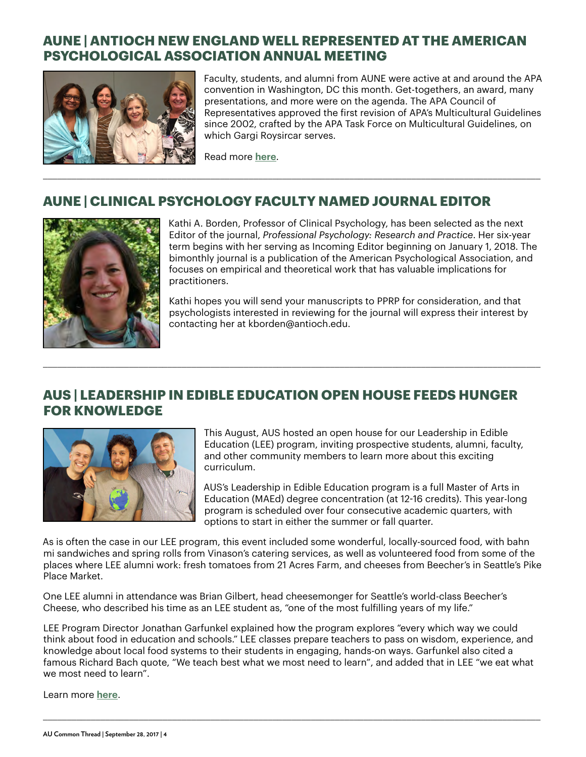# **AUNE | ANTIOCH NEW ENGLAND WELL REPRESENTED AT THE AMERICAN PSYCHOLOGICAL ASSOCIATION ANNUAL MEETING**



Faculty, students, and alumni from AUNE were active at and around the APA convention in Washington, DC this month. Get-togethers, an award, many presentations, and more were on the agenda. The APA Council of Representatives approved the first revision of APA's Multicultural Guidelines since 2002, crafted by the APA Task Force on Multicultural Guidelines, on which Gargi Roysircar serves.

Read more **[here](https://www.antioch.edu/new-england/2017/09/20/aune-antioch-new-england-well-represented-american-psychological-association-annual-meeting/)**.

# **AUNE | CLINICAL PSYCHOLOGY FACULTY NAMED JOURNAL EDITOR**

\_\_\_\_\_\_\_\_\_\_\_\_\_\_\_\_\_\_\_\_\_\_\_\_\_\_\_\_\_\_\_\_\_\_\_\_\_\_\_\_\_\_\_\_\_\_\_\_\_\_\_\_\_\_\_\_\_\_\_\_\_\_\_\_\_\_\_\_\_\_\_\_\_\_\_\_\_\_\_\_\_\_\_\_\_\_\_\_\_\_\_\_\_\_\_\_\_\_\_\_\_\_\_\_



Kathi A. Borden, Professor of Clinical Psychology, has been selected as the next Editor of the journal, *Professional Psychology: Research and Practice*. Her six-year term begins with her serving as Incoming Editor beginning on January 1, 2018. The bimonthly journal is a publication of the American Psychological Association, and focuses on empirical and theoretical work that has valuable implications for practitioners.

Kathi hopes you will send your manuscripts to PPRP for consideration, and that psychologists interested in reviewing for the journal will express their interest by contacting her at kborden@antioch.edu.

## **AUS | LEADERSHIP IN EDIBLE EDUCATION OPEN HOUSE FEEDS HUNGER FOR KNOWLEDGE**

\_\_\_\_\_\_\_\_\_\_\_\_\_\_\_\_\_\_\_\_\_\_\_\_\_\_\_\_\_\_\_\_\_\_\_\_\_\_\_\_\_\_\_\_\_\_\_\_\_\_\_\_\_\_\_\_\_\_\_\_\_\_\_\_\_\_\_\_\_\_\_\_\_\_\_\_\_\_\_\_\_\_\_\_\_\_\_\_\_\_\_\_\_\_\_\_\_\_\_\_\_\_\_\_



This August, AUS hosted an open house for our Leadership in Edible Education (LEE) program, inviting prospective students, alumni, faculty, and other community members to learn more about this exciting curriculum.

AUS's Leadership in Edible Education program is a full Master of Arts in Education (MAEd) degree concentration (at 12-16 credits). This year-long program is scheduled over four consecutive academic quarters, with options to start in either the summer or fall quarter.

As is often the case in our LEE program, this event included some wonderful, locally-sourced food, with bahn mi sandwiches and spring rolls from Vinason's catering services, as well as volunteered food from some of the places where LEE alumni work: fresh tomatoes from 21 Acres Farm, and cheeses from Beecher's in Seattle's Pike Place Market.

One LEE alumni in attendance was Brian Gilbert, head cheesemonger for Seattle's world-class Beecher's Cheese, who described his time as an LEE student as, "one of the most fulfilling years of my life."

LEE Program Director Jonathan Garfunkel explained how the program explores "every which way we could think about food in education and schools." LEE classes prepare teachers to pass on wisdom, experience, and knowledge about local food systems to their students in engaging, hands-on ways. Garfunkel also cited a famous Richard Bach quote, "We teach best what we most need to learn", and added that in LEE "we eat what we most need to learn".

\_\_\_\_\_\_\_\_\_\_\_\_\_\_\_\_\_\_\_\_\_\_\_\_\_\_\_\_\_\_\_\_\_\_\_\_\_\_\_\_\_\_\_\_\_\_\_\_\_\_\_\_\_\_\_\_\_\_\_\_\_\_\_\_\_\_\_\_\_\_\_\_\_\_\_\_\_\_\_\_\_\_\_\_\_\_\_\_\_\_\_\_\_\_\_\_\_\_\_\_\_\_\_\_

Learn more **[here](https://www.antioch.edu/seattle/2017/08/29/lee-open-house-feeds-hunger-for-knowledge/)**.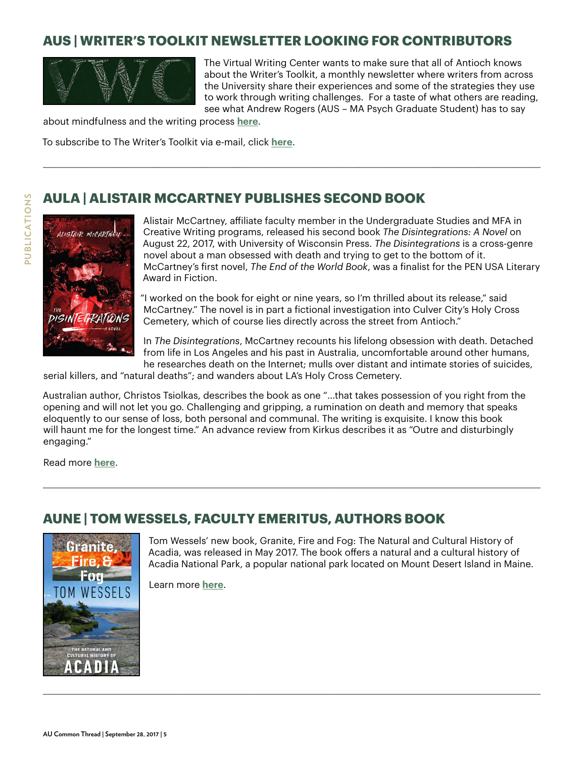# **AUS | WRITER'S TOOLKIT NEWSLETTER LOOKING FOR CONTRIBUTORS**

\_\_\_\_\_\_\_\_\_\_\_\_\_\_\_\_\_\_\_\_\_\_\_\_\_\_\_\_\_\_\_\_\_\_\_\_\_\_\_\_\_\_\_\_\_\_\_\_\_\_\_\_\_\_\_\_\_\_\_\_\_\_\_\_\_\_\_\_\_\_\_\_\_\_\_\_\_\_\_\_\_\_\_\_\_\_\_\_\_\_\_\_\_\_\_\_\_\_\_\_\_\_\_\_



The Virtual Writing Center wants to make sure that all of Antioch knows about the Writer's Toolkit, a monthly newsletter where writers from across the University share their experiences and some of the strategies they use to work through writing challenges. For a taste of what others are reading, see what Andrew Rogers (AUS – MA Psych Graduate Student) has to say

about mindfulness and the writing process **[here](http://us7.campaign-archive2.com/?u=f2f40ee959e2ee67535275403&id=a9964f7f6)**.

To subscribe to The Writer's Toolkit via e-mail, click **[here](http://etutoring.us7.list-manage.com/subscribe?u=f2f40ee959e2ee67535275403&id=9bd4d79051)**.

## **AULA | ALISTAIR MCCARTNEY PUBLISHES SECOND BOOK**



Alistair McCartney, affiliate faculty member in the Undergraduate Studies and MFA in Creative Writing programs, released his second book *The Disintegrations: A Novel* on August 22, 2017, with University of Wisconsin Press. *The Disintegrations* is a cross-genre novel about a man obsessed with death and trying to get to the bottom of it. McCartney's first novel, *The End of the World Book*, was a finalist for the PEN USA Literary Award in Fiction.

"I worked on the book for eight or nine years, so I'm thrilled about its release," said McCartney." The novel is in part a fictional investigation into Culver City's Holy Cross Cemetery, which of course lies directly across the street from Antioch."

In *The Disintegrations*, McCartney recounts his lifelong obsession with death. Detached from life in Los Angeles and his past in Australia, uncomfortable around other humans, he researches death on the Internet; mulls over distant and intimate stories of suicides,

serial killers, and "natural deaths"; and wanders about LA's Holy Cross Cemetery.

Australian author, Christos Tsiolkas, describes the book as one "…that takes possession of you right from the opening and will not let you go. Challenging and gripping, a rumination on death and memory that speaks eloquently to our sense of loss, both personal and communal. The writing is exquisite. I know this book will haunt me for the longest time." An advance review from Kirkus describes it as "Outre and disturbingly engaging."

\_\_\_\_\_\_\_\_\_\_\_\_\_\_\_\_\_\_\_\_\_\_\_\_\_\_\_\_\_\_\_\_\_\_\_\_\_\_\_\_\_\_\_\_\_\_\_\_\_\_\_\_\_\_\_\_\_\_\_\_\_\_\_\_\_\_\_\_\_\_\_\_\_\_\_\_\_\_\_\_\_\_\_\_\_\_\_\_\_\_\_\_\_\_\_\_\_\_\_\_\_\_\_\_

\_\_\_\_\_\_\_\_\_\_\_\_\_\_\_\_\_\_\_\_\_\_\_\_\_\_\_\_\_\_\_\_\_\_\_\_\_\_\_\_\_\_\_\_\_\_\_\_\_\_\_\_\_\_\_\_\_\_\_\_\_\_\_\_\_\_\_\_\_\_\_\_\_\_\_\_\_\_\_\_\_\_\_\_\_\_\_\_\_\_\_\_\_\_\_\_\_\_\_\_\_\_\_\_

Read more **[here](https://www.antioch.edu/los-angeles/2017/09/05/alistair-mccartney-publishes-second-book/)**.

# **AUNE | TOM WESSELS, FACULTY EMERITUS, AUTHORS BOOK**



Tom Wessels' new book, Granite, Fire and Fog: The Natural and Cultural History of Acadia, was released in May 2017. The book offers a natural and a cultural history of Acadia National Park, a popular national park located on Mount Desert Island in Maine.

Learn more **[here](https://www.antioch.edu/new-england/2017/09/08/wessels-book-granite-fire-fog/)**.